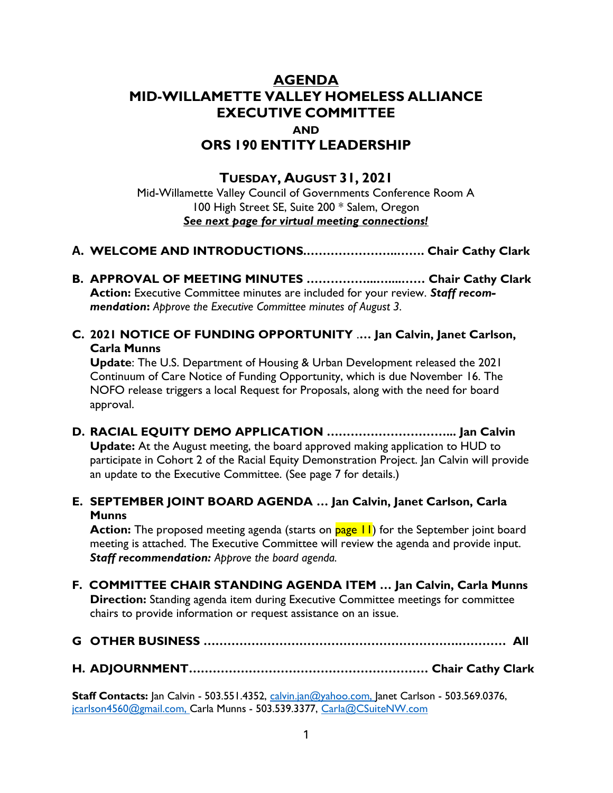## AGENDA MID-WILLAMETTE VALLEY HOMELESS ALLIANCE EXECUTIVE COMMITTEE AND ORS 190 ENTITY LEADERSHIP

## TUESDAY, AUGUST 31, 2021

Mid-Willamette Valley Council of Governments Conference Room A 100 High Street SE, Suite 200 \* Salem, Oregon See next page for virtual meeting connections!

- A. WELCOME AND INTRODUCTIONS.…………………..……. Chair Cathy Clark
- B. APPROVAL OF MEETING MINUTES ……………...…....…… Chair Cathy Clark Action: Executive Committee minutes are included for your review. Staff recommendation: Approve the Executive Committee minutes of August 3.
- C. 2021 NOTICE OF FUNDING OPPORTUNITY .… Jan Calvin, Janet Carlson, Carla Munns

Update: The U.S. Department of Housing & Urban Development released the 2021 Continuum of Care Notice of Funding Opportunity, which is due November 16. The NOFO release triggers a local Request for Proposals, along with the need for board approval.

- D. RACIAL EQUITY DEMO APPLICATION …………………………... Jan Calvin Update: At the August meeting, the board approved making application to HUD to participate in Cohort 2 of the Racial Equity Demonstration Project. Jan Calvin will provide an update to the Executive Committee. (See page 7 for details.)
- E. SEPTEMBER JOINT BOARD AGENDA … Jan Calvin, Janet Carlson, Carla **Munns**

**Action:** The proposed meeting agenda (starts on **page 11**) for the September joint board meeting is attached. The Executive Committee will review the agenda and provide input. Staff recommendation: Approve the board agenda.

- F. COMMITTEE CHAIR STANDING AGENDA ITEM … Jan Calvin, Carla Munns **Direction:** Standing agenda item during Executive Committee meetings for committee chairs to provide information or request assistance on an issue.
- G OTHER BUSINESS ……………………………………………………….………… All
- H. ADJOURNMENT…………………………………………………… Chair Cathy Clark

Staff Contacts: Jan Calvin - 503.551.4352, calvin.jan@yahoo.com, Janet Carlson - 503.569.0376, jcarlson4560@gmail.com, Carla Munns - 503.539.3377, Carla@CSuiteNW.com